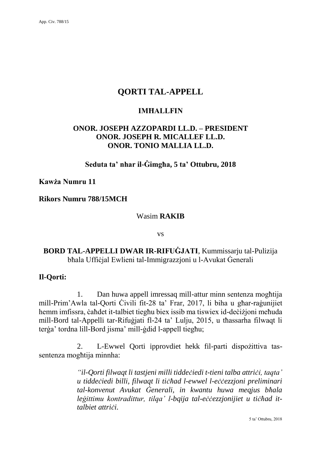# **QORTI TAL-APPELL**

## **IMĦALLFIN**

# **ONOR. JOSEPH AZZOPARDI LL.D. – PRESIDENT ONOR. JOSEPH R. MICALLEF LL.D. ONOR. TONIO MALLIA LL.D.**

**Seduta ta' nhar il-Ġimgħa, 5 ta' Ottubru, 2018**

#### **Kawża Numru 11**

#### **Rikors Numru 788/15MCH**

#### Wasim **RAKIB**

vs

## **BORD TAL-APPELLI DWAR IR-RIFUĠJATI**, Kummissarju tal-Pulizija bħala Uffiċjal Ewlieni tal-Immigrazzjoni u l-Avukat Ġenerali

### **Il-Qorti:**

1. Dan huwa appell imressaq mill-attur minn sentenza mogħtija mill-Prim'Awla tal-Qorti Ċivili fit-28 ta' Frar, 2017, li biha u għar-raġunijiet hemm imfissra, ċaħdet it-talbiet tiegħu biex issib ma tiswiex id-deċiżjoni meħuda mill-Bord tal-Appelli tar-Rifuġjati fl-24 ta' Lulju, 2015, u tħassarha filwaqt li terġa' tordna lill-Bord jisma' mill-ġdid l-appell tiegħu;

2. L-Ewwel Qorti ipprovdiet hekk fil-parti dispożittiva tassentenza mogħtija minnha:

> *"il-Qorti filwaqt li tastjeni milli tiddeċiedi t-tieni talba attriċi, taqta' u tiddeċiedi billi, filwaqt li tiċħad l-ewwel l-eċċezzjoni preliminari tal-konvenut Avukat Ġenerali, in kwantu huwa meqjus bħala leġittimu kontradittur, tilqa' l-bqija tal-eċċezzjonijiet u tiċħad ittalbiet attriċi.*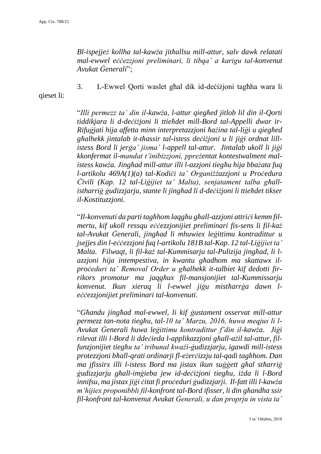*Bl-ispejjeż kollha tal-kawża jitħallsu mill-attur, salv dawk relatati mal-ewwel eċċezzjoni preliminari, li tibqa' a karigu tal-konvenut Avukat Ġenerali*";

qieset li:

3. L-Ewwel Qorti waslet għal dik id-deċiżjoni tagħha wara li

"*Illi permezz ta' din il-kawża, l-attur qiegħed jitlob lil din il-Qorti tiddikjara li d-deċiżjoni li ttieħdet mill-Bord tal-Appelli dwar ir-Rifuġjati hija affetta minn interpretazzjoni ħażina tal-liġi u qiegħed għalhekk jintalab it-tħassir tal-istess deċiżjoni u li jiġi ordnat lillistess Bord li jerġa' jisma' l-appell tal-attur. Jintalab ukoll li jiġi kkonfermat il-mandat t'inibizzjoni, ppreżentat kontestwalment malistess kawża. Jingħad mill-attur illi l-azzjoni tiegħu hija bbażata fuq l-artikolu 469A(1)(a) tal-Kodiċi ta' Organiżżazzjoni u Proċedura Ċivili (Kap. 12 tal-Liġijiet ta' Malta), senjatament talba għallistharriġ ġudizzjarju, stante li jingħad li d-deċiżjoni li ttieħdet tikser il-Kostituzzjoni.* 

"*Il-konvenuti da parti tagħhom laqgħu għall-azzjoni attriċi kemm filmertu, kif ukoll ressqu eċċezzjonijiet preliminari fis-sens li fil-każ tal-Avukat Ġenerali, jingħad li mhuwiex leġittimu kontradittur u jsejjes din l-eċċezzjoni fuq l-artikolu 181B tal-Kap. 12 tal-Liġijiet ta' Malta. Filwaqt, li fil-każ tal-Kummisarju tal-Pulizija jingħad, li lazzjoni hija intempestiva, in kwantu għadhom ma skattawx ilproċeduri ta' Removal Order u għalhekk it-talbiet kif dedotti firrikors promotur ma jaqgħux fil-mansjonijiet tal-Kummissarju konvenut. Ikun xieraq li l-ewwel jiġu mistħarrġa dawn leċċezzjonijiet preliminari tal-konvenuti.*

"*Għandu jingħad mal-ewwel, li kif ġustament osservat mill-attur permezz tan-nota tiegħu, tal-10 ta' Marzu, 2016, huwa meqjus li l-Avukat Ġenerali huwa leġittimu kontradittur f'din il-kawża. Jiġi rilevat illi l-Bord li ddeċieda l-applikazzjoni għall-ażil tal-attur, filfunzjonijiet tiegħu ta' tribunal kważi-ġudizzjarju, igawdi mill-istess protezzjoni bħall-qrati ordinarji fl-eżerċizzju tal-qadi tagħhom. Dan ma jfissirx illi l-istess Bord ma jistax ikun suġġett għal stħarriġ ġudizzjarju għall-imġieba jew id-deċiżjoni tiegħu, iżda li l-Bord innifsu, ma jistax jiġi ċitat fi proċeduri ġudizzjarji. Il-fatt illi l-kawża m'hijiex proponibbli fil-konfront tal-Bord ifisser, li din għandha ssir fil-konfront tal-konvenut Avukat Ġenerali, u dan proprju in vista ta'*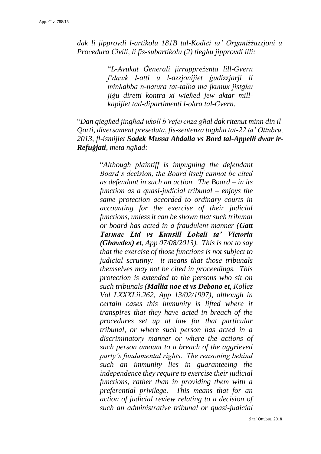*dak li jipprovdi l-artikolu 181B tal-Kodiċi ta' Organiżżazzjoni u Proċedura Ċivili, li fis-subartikolu (2) tiegħu jipprovdi illi:*

> "*L-Avukat Ġenerali jirrappreżenta lill-Gvern f'dawk l-atti u l-azzjonijiet ġudizzjarji li minħabba n-natura tat-talba ma jkunux jistgħu jiġu diretti kontra xi wieħed jew aktar millkapijiet tad-dipartimenti l-oħra tal-Gvern.*

"*Dan qiegħed jingħad ukoll b'referenza għal dak ritenut minn din il-Qorti, diversament preseduta, fis-sentenza tagħha tat-22 ta' Ottubru, 2013, fl-ismijiet Sadek Mussa Abdalla vs Bord tal-Appelli dwar ir-Refuġjati, meta ngħad:*

> "*Although plaintiff is impugning the defendant Board's decision, the Board itself cannot be cited as defendant in such an action. The Board – in its function as a quasi-judicial tribunal – enjoys the same protection accorded to ordinary courts in accounting for the exercise of their judicial functions, unless it can be shown that such tribunal or board has acted in a fraudulent manner (Gatt Tarmac Ltd vs Kunsill Lokali ta' Victoria (Ghawdex) et, App 07/08/2013). This is not to say that the exercise of those functions is not subject to judicial scrutiny: it means that those tribunals themselves may not be cited in proceedings. This protection is extended to the persons who sit on such tribunals (Mallia noe et vs Debono et, Kollez Vol LXXXI.ii.262, App 13/02/1997), although in certain cases this immunity is lifted where it transpires that they have acted in breach of the procedures set up at law for that particular tribunal, or where such person has acted in a discriminatory manner or where the actions of such person amount to a breach of the aggrieved party's fundamental rights. The reasoning behind such an immunity lies in guaranteeing the independence they require to exercise their judicial functions, rather than in providing them with a preferential privilege. This means that for an action of judicial review relating to a decision of such an administrative tribunal or quasi-judicial*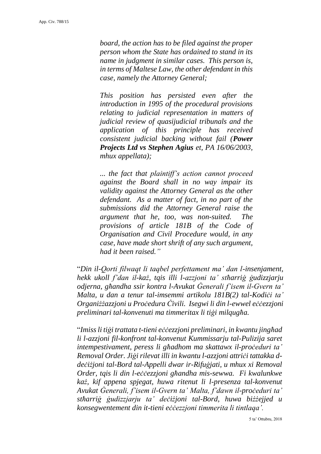*board, the action has to be filed against the proper person whom the State has ordained to stand in its name in judgment in similar cases. This person is, in terms of Maltese Law, the other defendant in this case, namely the Attorney General;* 

*This position has persisted even after the introduction in 1995 of the procedural provisions relating to judicial representation in matters of judicial review of quasijudicial tribunals and the application of this principle has received consistent judicial backing without fail (Power Projects Ltd vs Stephen Agius et, PA 16/06/2003, mhux appellata);*

*... the fact that plaintiff's action cannot proceed against the Board shall in no way impair its validity against the Attorney General as the other defendant. As a matter of fact, in no part of the submissions did the Attorney General raise the argument that he, too, was non-suited. The provisions of article 181B of the Code of Organisation and Civil Procedure would, in any case, have made short shrift of any such argument, had it been raised."*

"*Din il-Qorti filwaqt li taqbel perfettament ma' dan l-insenjament, hekk ukoll f'dan il-każ, tqis illi l-azzjoni ta' stħarriġ ġudizzjarju odjerna, għandha ssir kontra l-Avukat Ġenerali f'isem il-Gvern ta' Malta, u dan a tenur tal-imsemmi artikolu 181B(2) tal-Kodiċi ta' Organiżżazzjoni u Proċedura Ċivili. Isegwi li din l-ewwel eċċezzjoni preliminari tal-konvenuti ma timmeritax li tiġi milqugħa.*

"*Imiss li tiġi trattata t-tieni eċċezzjoni preliminari, in kwantu jingħad li l-azzjoni fil-konfront tal-konvenut Kummissarju tal-Pulizija saret intempestivament, peress li għadhom ma skattawx il-proċeduri ta' Removal Order. Jiġi rilevat illi in kwantu l-azzjoni attriċi tattakka ddeċiżjoni tal-Bord tal-Appelli dwar ir-Rifuġjati, u mhux xi Removal Order, tqis li din l-eċċezzjoni għandha mis-sewwa. Fi kwalunkwe każ, kif appena spjegat, huwa ritenut li l-presenza tal-konvenut Avukat Ġenerali, f'isem il-Gvern ta' Malta, f'dawn il-proċeduri ta' stħarriġ ġudizzjarju ta' deċiżjoni tal-Bord, huwa biżżejjed u konsegwentement din it-tieni eċċezzjoni timmerita li tintlaqa'.*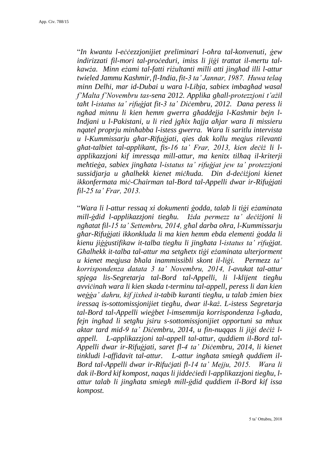"*In kwantu l-eċċezzjonijiet preliminari l-oħra tal-konvenuti, ġew indirizzati fil-mori tal-proċeduri, imiss li jiġi trattat il-mertu talkawża. Minn eżami tal-fatti riżultanti milli atti jingħad illi l-attur twieled Jammu Kashmir, fl-India, fit-3 ta' Jannar, 1987. Huwa telaq minn Delhi, mar id-Dubai u wara l-Libja, sabiex imbagħad wasal f'Malta f'Novembru tas-sena 2012. Applika għall-protezzjoni t'ażil taħt l-istatus ta' rifuġjat fit-3 ta' Diċembru, 2012. Dana peress li ngħad minnu li kien hemm gwerra għaddejja l-Kashmir bejn l-Indjani u l-Pakistani, u li ried jgħix ħajja aħjar wara Ii missieru nqatel proprju minħabba l-istess gwerra. Wara li saritlu intervista u l-Kummissarju għar-Rifuġjati, qies dak kollu meqjus rilevanti għat-talbiet tal-applikant, fis-16 ta' Frar, 2013, kien deċiż li lapplikazzjoni kif imressqa mill-attur, ma kenitx tilħaq il-kriterji meħtieġa, sabiex jingħata l-istatus ta' rifuġjat jew ta' protezzjoni sussidjarja u għalhekk kienet miċħuda. Din d-deċiżjoni kienet ikkonfermata miċ-Chairman tal-Bord tal-Appelli dwar ir-Rifuġjati fil-25 ta' Frar, 2013.*

"*Wara li l-attur ressaq xi dokumenti ġodda, talab li tiġi eżaminata mill-ġdid l-applikazzjoni tiegħu. Iżda permezz ta' deċiżjoni li ngħatat fil-15 ta' Settembru, 2014, għal darba oħra, l-Kummissarju għar-Rifuġjati ikkonkluda li ma kien hemm ebda elementi ġodda li kienu jiġġustifikaw it-talba tiegħu li jingħata l-istatus ta' rifuġjat. Għalhekk it-talba tal-attur ma setgħetx tiġi eżaminata ulterjorment u kienet meqjusa bħala inammissibli skont il-liġi. Permezz ta' korrispondenza datata 3 ta' Novembru, 2014, l-avukat tal-attur spjega lis-Segretarja tal-Bord tal-Appelli, li l-klijent tiegħu avviċinah wara li kien skada t-terminu tal-appell, peress li dan kien weġġa' dahru, kif jixhed it-tabib kuranti tiegħu, u talab żmien biex iressaq is-sottomissjonijiet tiegħu, dwar il-każ. L-istess Segretarja tal-Bord tal-Appelli wieġbet l-imsemmija korrispondenza l-għada, fejn ingħad li setgħu jsiru s-sottomissjonijiet opportuni sa mhux aktar tard mid-9 ta' Diċembru, 2014, u fin-nuqqas li jiġi deċiż lappell. L-applikazzjoni tal-appell tal-attur, quddiem il-Bord tal-Appelli dwar ir-Rifuġjati, saret fl-4 ta' Diċembru, 2014, li kienet tinkludi l-affidavit tal-attur. L-attur ingħata smiegħ quddiem il-Bord tal-Appelli dwar ir-Rifuċjati fl-14 ta' Mejju, 2015. Wara li dak il-Bord kif kompost, naqas li jiddeċiedi l-applikazzjoni tiegħu, lattur talab li jingħata smiegħ mill-ġdid quddiem il-Bord kif issa kompost.*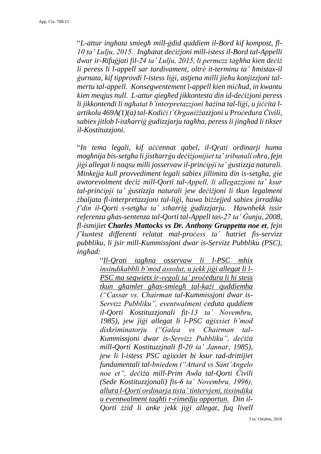"*L-attur ingħata smiegħ mill-ġdid quddiem il-Bord kif kompost, fl-10 ta' Lulju, 2015. Ingħatat deċiżjoni mill-istess il-Bord tal-Appelli dwar ir-Rifuġjati fil-24 ta' Lulju, 2015, li permezz tagħha kien deċiż li peress li l-appell sar tardivament, oltrè it-terminu ta' ħmistax-il ġurnata, kif tipprovdi l-istess liġi, astjena milli jieħu konjizzjoni talmertu tal-appell. Konsegwentement l-appell kien miċħud, in kwantu kien meqjus null. L-attur qiegħed jikkontesta din id-deċiżjoni peress li jikkontendi li ngħatat b'interpretazzjoni ħażina tal-liġi, u jiċċita lartikolu 469A(1)(a) tal-Kodiċi t'Organiżżazzjoni u Proċedura Ċivili, sabiex jitlob l-istħarriġ ġudizzjarju tagħha, peress li jingħad li tikser il-Kostituzzjoni.* 

"*In tema legali, kif aċċennat qabel, il-Qrati ordinarji huma mogħnija bis-setgħa li jistħarrġu deċiżjonijiet ta' tribunali oħra, fejn jiġi allegat li naqsu milli josservaw il-prinċipji ta' ġustizzja naturali. Minkejja kull provvediment legali sabiex jillimita din is-setgħa, ġie awtorevolment deċiż mill-Qorti tal-Appell, li allegazzjoni ta' ksur tal-prinċipji ta' ġustizzja naturali jew deċiżjoni li tkun legalment żbaljata fl-interpretazzjoni tal-liġi, huwa biżżejjed sabiex jirradika f'din il-Qorti s-setgħa ta' stħarriġ ġudizzjarju. Hawnhekk issir referenza għas-sentenza tal-Qorti tal-Appell tas-27 ta' Ġunju, 2008, fl-ismijiet Charles Mattocks vs Dr. Anthony Gruppetta noe et, fejn f'kuntest differenti relatat mal-proċess ta' ħatriet fis-servizz pubbliku, li jsir mill-Kummissjoni dwar is-Servizz Pubbliku (PSC), ingħad:*

> "*Il-Qrati tagħna osservaw li l-PSC mhix insindikabbli b'mod assolut, u jekk jiġi allegat li l-PSC ma segwietx ir-regoli ta' proċedura li hi stess tkun għamlet għas-smiegħ tal-każi quddiemha ("Cassar vs. Chairman tal-Kummissjoni dwar is-Servizz Pubbliku", eventwalment ċeduta quddiem il-Qorti Kostituzzjonali fit-13 ta' Novembru, 1985), jew jiġi allegat li l-PSC aġixxiet b'mod diskriminatorju ("Galea vs Chairman tal-Kummissjoni dwar is-Servizz Pubbliku", deċiża mill-Qorti Kostituzzjnali fl-20 ta' Jannar, 1985), jew li l-istess PSC aġixxiet bi ksur tad-drittijiet fundamentali tal-bniedem ("Attard vs Sant'Angelo noe et", deċiża mill-Prim Awla tal-Qorti Ċivili (Sede Kostituzzjonali) fis-6 ta' Novembru, 1996), allura l-Qorti ordinarja tista' tintervjeni, tissindika u eventwalment tagħti r-rimedju opportun. Din il-Qorti żżid li anke jekk jiġi allegat, fuq livell*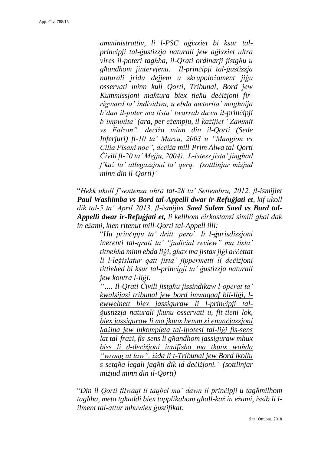*amministrattiv, li l-PSC aġixxiet bi ksur talprinċipji tal-ġustizzja naturali jew aġixxiet ultra vires il-poteri tagħha, il-Qrati ordinarji jistgħu u għandhom jintervjenu. Il-prinċipji tal-ġustizzja naturali jridu dejjem u skrupolożament jiġu osservati minn kull Qorti, Tribunal, Bord jew Kummissjoni maħtura biex tieħu deċiżjoni firrigward ta' individwu, u ebda awtorita` mogħnija b'dan il-poter ma tista' twarrab dawn il-prinċipji b'impunita` (ara, per eżempju, il-każijiet "Zammit vs Falzon", deċiża minn din il-Qorti (Sede Inferjuri) fl-10 ta' Marzu, 2003 u "Mangion vs Cilia Pisani noe", deċiża mill-Prim Alwa tal-Qorti Ċivili fl-20 ta' Mejju, 2004). L-istess jista' jingħad f'każ ta' allegazzjoni ta' qerq. (sottlinjar mizjud minn din il-Qorti)"*

"*Hekk ukoll f'sentenza oħra tat-28 ta' Settembru, 2012, fl-ismijiet Paul Washimba vs Bord tal-Appelli dwar ir-Refuġjati et, kif ukoll dik tal-5 ta' April 2013, fl-ismijiet Saed Salem Saed vs Bord tal-Appelli dwar ir-Refuġjati et, li kellhom ċirkostanzi simili għal dak in eżami, kien ritenut mill-Qorti tal-Appell illi:*

> "*Hu prinċipju ta' dritt, pero`, li l-ġurisdizzjoni inerenti tal-qrati ta' "judicial review" ma tista' titneħħa minn ebda liġi, għax ma jistax jiġi aċċettat li l-leġislatur qatt jista' jippermetti li deċiżjoni tittieħed bi ksur tal-prinċipji ta' ġustizzja naturali jew kontra l-liġi.*

> *"…. Il-Qrati Ċivili jistgħu jissindikaw l-operat ta' kwalsijasi tribunal jew bord imwaqqaf bil-liġi, lewwelnett biex jassiguraw li l-prinċipji talġustizzja naturali jkunu osservati u, fit-tieni lok, biex jassiguraw li ma jkunx hemm xi enunċjazzjoni ħażina jew inkompleta tal-ipotesi tal-liġi fis-sens lat tal-frażi, fis-sens li għandhom jassiguraw mhux biss li d-deċiżjoni innifisha ma tkunx waħda "wrong at law", iżda li t-Tribunal jew Bord ikollu s-setgħa legali jagħti dik id-deċiżjoni." (sottlinjar miżjud minn din il-Qorti)*

"*Din il-Qorti filwaqt li taqbel ma' dawn il-prinċipji u tagħmilhom tagħha, meta tgħaddi biex tapplikahom għall-każ in eżami, issib li lilment tal-attur mhuwiex ġustifikat.*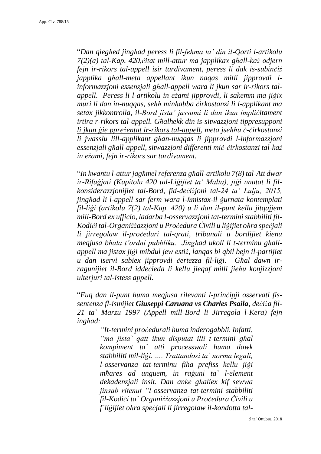"*Dan qiegħed jingħad peress li fil-fehma ta' din il-Qorti l-artikolu 7(2)(a) tal-Kap. 420,ċitat mill-attur ma japplikax għall-każ odjern fejn ir-rikors tal-appell isir tardivament, peress li dak is-subinċiż japplika għall-meta appellant ikun naqas milli jipprovdi linformazzjoni essenzjali għall-appell wara li jkun sar ir-rikors talappell. Peress li l-artikolu in eżami jipprovdi, li sakemm ma jiġix muri li dan in-nuqqas, seħħ minħabba ċirkostanzi li l-applikant ma setax jikkontrolla, il-Bord jista' jassumi li dan ikun impliċitament irtira r-rikors tal-appell. Għalhekk din is-sitwazzjoni tippresupponi li jkun ġie ppreżentat ir-rikors tal-appell, meta jseħħu ċ-ċirkostanzi li jwasslu lill-applikant għan-nuqqas li jipprovdi l-informazzjoni essenzjali għall-appell, sitwazzjoni differenti miċ-ċirkostanzi tal-każ in eżami, fejn ir-rikors sar tardivament.*

"*In kwantu l-attur jagħmel referenza għall-artikolu 7(8) tal-Att dwar ir-Rifuġjati (Kapitolu 420 tal-Liġijiet ta' Malta), jiġi nnutat li filkonsiderazzjonijiet tal-Bord, fid-deċiżjoni tal-24 ta' Lulju, 2015, jingħad li l-appell sar ferm wara l-ħmistax-il ġurnata kontemplati fil-liġi (artikolu 7(2) tal-Kap. 420) u li dan il-punt kellu jitqajjem mill-Bord ex ufficio, ladarba l-osservazzjoni tat-termini stabbiliti fil-Kodiċi tal-Organiżżazzjoni u Proċedura Ċivili u liġijiet oħra speċjali li jirregolaw il-proċeduri tal-qrati, tribunali u bordijiet kienu meqjusa bħala t'ordni pubbliku. Jingħad ukoll li t-terminu għallappell ma jistax jiġi mibdul jew estiż, lanqas bi qbil bejn il-partijiet u dan iservi sabiex jipprovdi ċertezza fil-liġi. Għal dawn irragunijiet il-Bord iddeċieda li kellu jieqaf milli jieħu konjizzjoni ulterjuri tal-istess appell.* 

"*Fuq dan il-punt huma meqjusa rilevanti l-prinċipji osservati fissentenza fl-ismijiet Giuseppi Caruana vs Charles Psaila, deċiża fil-21 ta` Marzu 1997 (Appell mill-Bord li Jirregola l-Kera) fejn ingħad:*

> *"It-termini proċedurali huma inderogabbli. Infatti, "ma jista` qatt ikun disputat illi t-termini għal kompiment ta` atti proċesswali huma dawk stabbiliti mil-liġi. …. Trattandosi ta` norma legali, l-osservanza tat-terminu fiha prefiss kellu jiġi mħares ad unguem, in raġuni ta` l-element dekadenzjali insit. Dan anke għaliex kif sewwa jinsab ritenut "l-osservanza tat-termini stabbiliti fil-Kodiċi ta` Organiżżazzjoni u Proċedura Ċivili u f`liġijiet oħra speċjali li jirregolaw il-kondotta tal-*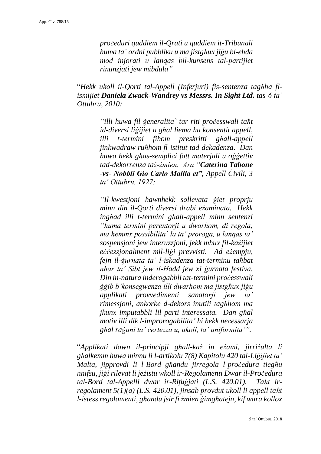*proċeduri quddiem il-Qrati u quddiem it-Tribunali huma ta` ordni pubbliku u ma jistgħux jiġu bl-ebda mod injorati u lanqas bil-kunsens tal-partijiet rinunzjati jew mibdula"*

"*Hekk ukoll il-Qorti tal-Appell (Inferjuri) fis-sentenza tagħha flismijiet Daniela Zwack-Wandrey vs Messrs. In Sight Ltd. tas-6 ta' Ottubru, 2010:*

> *"illi huwa fil-ġeneralita` tar-riti proċesswali taħt id-diversi liġijiet u għal liema hu konsentit appell, illi t-termini fihom preskritti għall-appell jinkwadraw ruħhom fl-istitut tad-dekadenza. Dan huwa hekk għas-sempliċi fatt materjali u oġġettiv tad-dekorrenza taż-żmien. Ara "Caterina Tabone -vs- Nobbli Gio Carlo Mallia et", Appell Ċivili, 3 ta' Ottubru, 1927;*

> *"Il-kwestjoni hawnhekk sollevata ġiet proprju minn din il-Qorti diversi drabi eżaminata. Hekk ingħad illi t-termini għall-appell minn sentenzi "huma termini perentorji u dwarhom, di regola, ma hemmx possibilita` la ta' proroga, u lanqas ta' sospensjoni jew interuzzjoni, jekk mhux fil-każijiet eċċezzjonalment mil-liġi prevvisti. Ad eżempju, fejn il-ġurnata ta' l-iskadenza tat-terminu taħbat nhar ta' Sibt jew il-Ħadd jew xi ġurnata festiva. Din in-natura inderogabbli tat-termini proċesswali ġġib b'konsegwenza illi dwarhom ma jistgħux jiġu applikati provvedimenti sanatorji jew ta' rimessjoni, ankorke d-dekors inutili tagħhom ma jkunx imputabbli lil parti interessata. Dan għal motiv illi dik l-improrogabilita' hi hekk neċessarja għal raġuni ta' ċertezza u, ukoll, ta' uniformita'".*

"*Applikati dawn il-prinċipji għall-każ in eżami, jirriżulta li għalkemm huwa minnu li l-artikolu 7(8) Kapitolu 420 tal-Liġijiet ta' Malta, jipprovdi li l-Bord għandu jirregola l-proċedura tiegħu nnifsu, jiġi rilevat li jeżistu wkoll ir-Regolamenti Dwar il-Proċedura tal-Bord tal-Appelli dwar ir-Rifuġjati (L.S. 420.01). Taħt irregolament 5(1)(a) (L.S. 420.01), jinsab provdut ukoll li appell taħt l-istess regolamenti, għandu jsir fi żmien ġimgħatejn, kif wara kollox*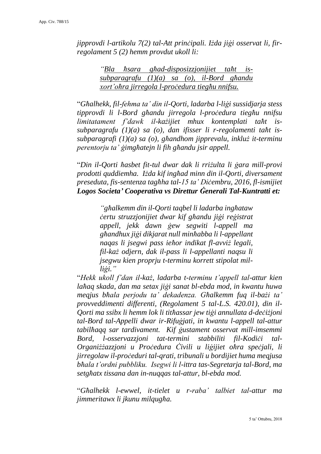*jipprovdi l-artikolu 7(2) tal-Att prinċipali. Iżda jiġi osservat li, firregolament 5 (2) hemm provdut ukoll li:*

> *"Bla ħsara għad-disposizzjonijiet taħt issubparagrafu (1)(a) sa (o), il-Bord għandu xort'oħra jirregola l-proċedura tiegħu nnifsu.*

"*Għalhekk, fil-fehma ta' din il-Qorti, ladarba l-liġi sussidjarja stess tipprovdi li l-Bord għandu jirregola l-proċedura tiegħu nnifsu limitatament f'dawk il-każijiet mhux kontemplati taħt issubparagrafu (1)(a) sa (o), dan ifisser li r-regolamenti taħt issubparagrafi (1)(a) sa (o), għandhom jipprevalu, inkluż it-terminu perentorju ta' ġimgħatejn li fih għandu jsir appell.* 

"*Din il-Qorti ħasbet fit-tul dwar dak li rriżulta li ġara mill-provi prodotti quddiemha. Iżda kif ingħad minn din il-Qorti, diversament preseduta, fis-sentenza tagħha tal-15 ta' Diċembru, 2016, fl-ismijiet Logos Societa' Cooperativa vs Direttur Ġenerali Tal-Kuntratti et:*

> *"għalkemm din il-Qorti taqbel li ladarba ingħataw ċertu struzzjonijiet dwar kif għandu jiġi reġistrat appell, jekk dawn ġew segwiti l-appell ma għandhux jiġi dikjarat null minħabba li l-appellant naqas li jsegwi pass ieħor indikat fl-avviż legali, fil-każ odjern, dak il-pass li l-appellanti naqsu li jsegwu kien proprju t-terminu korrett stipolat milliġi."*

"*Hekk ukoll f'dan il-każ, ladarba t-terminu t'appell tal-attur kien laħaq skada, dan ma setax jiġi sanat bl-ebda mod, in kwantu huwa meqjus bħala perjodu ta' dekadenza. Għalkemm fuq il-bażi ta' provveddimenti differenti, (Regolament 5 tal-L.S. 420.01), din il-Qorti ma ssibx li hemm lok li titħassar jew tiġi annullata d-deċiżjoni tal-Bord tal-Appelli dwar ir-Rifuġjati, in kwantu l-appell tal-attur tabilħaqq sar tardivament. Kif ġustament osservat mill-imsemmi Bord, l-osservazzjoni tat-termini stabbiliti fil-Kodiċi tal-Organiżżazzjoni u Proċedura Ċivili u liġijiet oħra speċjali, li jirregolaw il-proċeduri tal-qrati, tribunali u bordijiet huma meqjusa bħala t'ordni pubbliku. Isegwi li l-ittra tas-Segretarja tal-Bord, ma setgħatx tissana dan in-nuqqas tal-attur, bl-ebda mod.* 

"*Għalhekk l-ewwel, it-tielet u r-raba' talbiet tal-attur ma jimmeritawx li jkunu milqugħa.*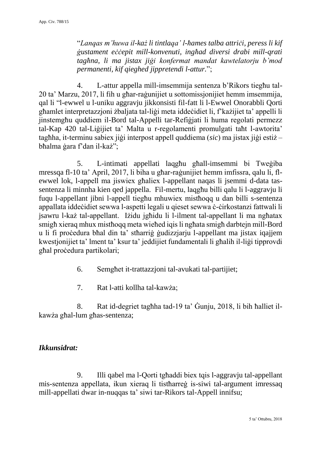"*Lanqas m'huwa il-każ li tintlaqa' l-ħames talba attriċi, peress li kif ġustament eċċepit mill-konvenuti, ingħad diversi drabi mill-qrati tagħna, li ma jistax jiġi konfermat mandat kawtelatorju b'mod permanenti, kif qieghed jippretendi l-attur.*";

4. L-attur appella mill-imsemmija sentenza b'Rikors tiegħu tal-20 ta' Marzu, 2017, li fih u għar-raġunijiet u sottomissjonijiet hemm imsemmija, qal li "l-ewwel u l-uniku aggravju jikkonsisti fil-fatt li l-Ewwel Onorabbli Qorti għamlet interpretazzjoni żbaljata tal-liġi meta iddeċidiet li, f'każijiet ta' appelli li jinstemgħu quddiem il-Bord tal-Appelli tar-Refiġjati li huma regolati permezz tal-Kap 420 tal-Liġijiet ta' Malta u r-regolamenti promulgati taħt l-awtorita' tagħha, it-terminu sabiex jiġi interpost appell quddiema (*sic*) ma jistax jiġi estiż – bħalma ġara f'dan il-każ";

5. L-intimati appellati laqgħu għall-imsemmi bi Tweġiba mressqa fl-10 ta' April, 2017, li biha u għar-raġunijiet hemm imfissra, qalu li, flewwel lok, l-appell ma jiswiex għaliex l-appellant naqas li jsemmi d-data tassentenza li minnha kien qed jappella. Fil-mertu, laqgħu billi qalu li l-aggravju li fuqu l-appellant jibni l-appell tiegħu mhuwiex mistħoqq u dan billi s-sentenza appallata iddeċidiet sewwa l-aspetti legali u qieset sewwa ċ-ċirkostanzi fattwali li jsawru l-każ tal-appellant. Iżidu jgħidu li l-ilment tal-appellant li ma ngħatax smigħ xieraq mhux mistħoqq meta wieħed iqis li ngħata smigħ darbtejn mill-Bord u li fi proċedura bħal din ta' stħarriġ ġudizzjarju l-appellant ma jistax iqajjem kwestjonijiet ta' lment ta' ksur ta' jeddijiet fundamentali li għalih il-liġi tipprovdi għal proċedura partikolari;

- 6. Semgħet it-trattazzjoni tal-avukati tal-partijiet;
- 7. Rat l-atti kollha tal-kawża;

8. Rat id-degriet tagħha tad-19 ta' Ġunju, 2018, li bih ħalliet ilkawża għal-lum għas-sentenza;

# *Ikkunsidrat:*

9. Illi qabel ma l-Qorti tgħaddi biex tqis l-aggravju tal-appellant mis-sentenza appellata, ikun xieraq li tistħarreġ is-siwi tal-argument imressaq mill-appellati dwar in-nuqqas ta' siwi tar-Rikors tal-Appell innifsu;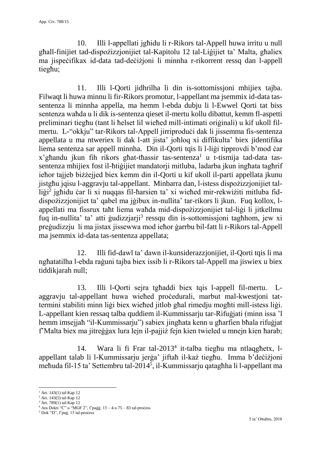10. Illi l-appellati jgħidu li r-Rikors tal-Appell huwa irritu u null għall-finijiet tad-dispożizzjonijiet tal-Kapitolu 12 tal-Liġijiet ta' Malta, għaliex ma jispeċifikax id-data tad-deċiżjoni li minnha r-rikorrent ressq dan l-appell tiegħu;

11. Illi l-Qorti jidhrilha li din is-sottomissjoni mhijiex tajba. Filwaqt li huwa minnu li fir-Rikors promotur, l-appellant ma jsemmix id-data tassentenza li minnha appella, ma hemm l-ebda dubju li l-Ewwel Qorti tat biss sentenza waħda u li dik is-sentenza qieset il-mertu kollu dibattut, kemm fl-aspetti preliminari tiegħu (tant li ħelset lil wieħed mill-intimati oriġinali) u kif ukoll filmertu. L-"okkju" tar-Rikors tal-Appell jirriproduċi dak li jissemma fis-sentenza appellata u ma ntweriex li dak l-att jista' joħloq xi diffikulta' biex jidentifika liema sentenza sar appell minnha. Din il-Qorti tqis li l-liġi tipprovdi b'mod ċar  $x'$ għandu jkun fih rikors għat-tħassir tas-sentenza<sup>1</sup> u t-tismija tad-data tassentenza mhijiex fost il-ħtiġijiet mandatorji mitluba, ladarba jkun ingħata tagħrif ieħor tajjeb biżżejjed biex kemm din il-Qorti u kif ukoll il-parti appellata jkunu jistgħu jqisu l-aggravju tal-appellant. Minbarra dan, l-istess dispożizzjonijiet talliġi<sup>2</sup> jghidu ċar li xi nuqqas fil-harsien ta' xi wiehed mir-rekwiżiti mitluba fiddispożizzjonijiet ta' qabel ma jġibux in-nullita' tar-rikors li jkun. Fuq kollox, lappellati ma fissrux taħt liema waħda mid-dispożizzjonijiet tal-liġi li jitkellmu fuq in-nullita' ta' atti gudizzjarji<sup>3</sup> ressqu din is-sottomissjoni taghhom, jew xi preġudizzju li ma jistax jissewwa mod ieħor ġarrbu bil-fatt li r-Rikors tal-Appell ma jsemmix id-data tas-sentenza appellata;

12. Illi fid-dawl ta' dawn il-kunsiderazzjonijiet, il-Qorti tqis li ma ngħatatilha l-ebda raġuni tajba biex issib li r-Rikors tal-Appell ma jiswiex u biex tiddikjarah null;

13. Illi l-Qorti sejra tgħaddi biex tqis l-appell fil-mertu. Laggravju tal-appellant huwa wieħed proċedurali, marbut mal-kwestjoni tattermini stabiliti minn liġi biex wieħed jitlob għal rimedju mogħti mill-istess liġi. L-appellant kien ressaq talba quddiem il-Kummissarju tar-Rifuġjati (minn issa 'l hemm imsejjaħ "il-Kummissarju") sabiex jingħata kenn u għarfien bħala rifuġjat f'Malta biex ma jitreġġax lura lejn il-pajjiż fejn kien twieled u mnejn kien ħarab;

14. Wara li fi Frar tal-2013<sup>4</sup> it-talba tieghu ma ntlaqghetx, lappellant talab li l-Kummissarju jerġa' jiftaħ il-każ tiegħu. Imma b'deċiżjoni meħuda fil-15 ta' Settembru tal-2014<sup>5</sup> , il-Kummissarju qatagħha li l-appellant ma

1

<sup>&</sup>lt;sup>1</sup> Art. 143(1) tal-Kap 12

 $2$  Art. 143(5) tal-Kap 12

<sup>&</sup>lt;sup>3</sup> Art. 789(1) tal-Kap 12

 $4$  Ara Dokti "Č" u "MGF 2", f'paġġ.  $13 - 4$  u  $75 - 83$  tal-process

<sup>&</sup>lt;sup>5</sup> Dok "D", f'paġ. 15 tal-process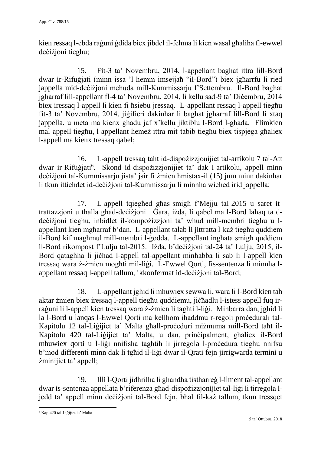kien ressaq l-ebda raġuni ġdida biex jibdel il-fehma li kien wasal għaliha fl-ewwel deċiżjoni tiegħu;

15. Fit-3 ta' Novembru, 2014, l-appellant bagħat ittra lill-Bord dwar ir-Rifuġjati (minn issa 'l hemm imsejjaħ "il-Bord") biex jgħarrfu li ried jappella mid-deċiżjoni meħuda mill-Kummissarju f'Settembru. Il-Bord bagħat jgħarraf lill-appellant fl-4 ta' Novembru, 2014, li kellu sad-9 ta' Diċembru, 2014 biex iressaq l-appell li kien fi ħsiebu jressaq. L-appellant ressaq l-appell tiegħu fit-3 ta' Novembru, 2014, jiġifieri dakinhar li bagħat jgħarraf lill-Bord li xtaq jappella, u meta ma kienx għadu jaf x'kellu jiktiblu l-Bord l-għada. Flimkien mal-appell tiegħu, l-appellant hemeż ittra mit-tabib tiegħu biex tispjega għaliex l-appell ma kienx tressaq qabel;

16. L-appell tressaq taħt id-dispożizzjonijiet tal-artikolu 7 tal-Att dwar ir-Rifuġjati<sup>6</sup>. Skond id-dispożizzjonijiet ta' dak l-artikolu, appell minn deċiżjoni tal-Kummissarju jista' jsir fi żmien ħmistax-il (15) jum minn dakinhar li tkun ittieħdet id-deċiżjoni tal-Kummissarju li minnha wieħed irid jappella;

17. L-appell tqiegħed għas-smigħ f'Mejju tal-2015 u saret ittrattazzjoni u tħalla għad-deċiżjoni. Ġara, iżda, li qabel ma l-Bord laħaq ta ddeċiżjoni tiegħu, inbidlet il-kompożizzjoni ta' wħud mill-membri tiegħu u lappellant kien mgħarraf b'dan. L-appellant talab li jittratta l-każ tiegħu quddiem il-Bord kif magħmul mill-membri l-ġodda. L-appellant ingħata smigħ quddiem il-Bord rikompost f'Lulju tal-2015. Iżda, b'deċiżjoni tal-24 ta' Lulju, 2015, il-Bord qatagħha li jiċħad l-appell tal-appellant minħabba li sab li l-appell kien tressaq wara ż-żmien mogħti mil-liġi. L-Ewwel Qorti, fis-sentenza li minnha lappellant ressaq l-appell tallum, ikkonfermat id-deċiżjoni tal-Bord;

18. L-appellant jgħid li mhuwiex sewwa li, wara li l-Bord kien tah aktar żmien biex iressaq l-appell tiegħu quddiemu, jiċħadlu l-istess appell fuq irraġuni li l-appell kien tressaq wara ż-żmien li tagħti l-liġi. Minbarra dan, jgħid li la l-Bord u lanqas l-Ewwel Qorti ma kellhom iħaddmu r-regoli proċedurali tal-Kapitolu 12 tal-Liġijiet ta' Malta għall-proċeduri miżmuma mill-Bord taħt il-Kapitolu 420 tal-Liġijiet ta' Malta, u dan, prinċipalment, għaliex il-Bord mhuwiex qorti u l-liġi nnifisha tagħtih li jirregola l-proċedura tiegħu nnifsu b'mod differenti minn dak li tgħid il-liġi dwar il-Qrati fejn jirrigwarda termini u żminijiet ta' appell;

19. Illi l-Qorti jidhrilha li għandha tistħarreġ l-ilment tal-appellant dwar is-sentenza appellata b'riferenza għad-dispożizzjonijiet tal-liġi li tirregola ljedd ta' appell minn deċiżjoni tal-Bord fejn, bħal fil-każ tallum, tkun tressqet

<sup>-</sup><sup>6</sup> Kap 420 tal-Liġijiet ta' Malta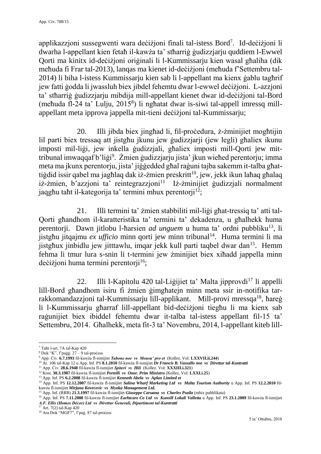applikazzjoni sussegwenti wara deċiżjoni finali tal-istess Bord<sup>7</sup> . Id-deċiżjoni li dwarha l-appellant kien fetaħ il-kawża ta' stħarriġ ġudizzjarju quddiem l-Ewwel Qorti ma kinitx id-deċiżjoni oriġinali li l-Kummissarju kien wasal għaliha (dik meħuda fi Frar tal-2013), lanqas ma kienet id-deċiżjoni (meħuda f'Settembru tal-2014) li biha l-istess Kummissarju kien sab li l-appellant ma kienx ġablu tagħrif jew fatti ġodda li jwassluh biex jibdel fehemtu dwar l-ewwel deċiżjoni. L-azzjoni ta' stħarriġ ġudizzjarju mibdija mill-appellant kienet dwar id-deċiżjoni tal-Bord (meħuda fl-24 ta' Lulju, 2015<sup>8</sup> ) li ngħatat dwar is-siwi tal-appell imressq millappellant meta ipprova jappella mit-tieni deċiżjoni tal-Kummissarju;

20. Illi jibda biex jingħad li, fil-proċedura, ż-żminijiet mogħtijin lil parti biex tressaq att jistgħu jkunu jew ġudizzjarji (jew legli) għaliex ikunu imposti mil-liġi, jew inkella ġudizzjali, għaliex imposti mill-Qorti jew mittribunal imwaqqaf b'liġi<sup>9</sup>. Żmien ġudizzjarju jista' jkun wieħed perentorju; imma meta ma jkunx perentorju, jista' jiġġedded għal raġuni tajba sakemm it-talba għattiġdid issir qabel ma jagħlaq dak iż-żmien preskritt<sup>10</sup>, jew, jekk ikun laħaq għalaq iż-żmien, b'azzjoni ta' reintegrazzjoni<sup>11</sup> Iż-żminijiet gudizzjali normalment iaqghu taht il-kategorija ta' termini mhux perentorij $1^2$ ;

21. Illi termini ta' żmien stabbiliti mil-liġi għat-tressiq ta' atti tal-Qorti għandhom il-karatteristika ta' termini ta' dekadenza, u għalhekk huma perentorji. Dawn jitlobu l-ħarsien *ad unguem* u huma ta' ordni pubbliku<sup>13</sup>, li jistgħu jitqajmu *ex ufficio* minn qorti jew minn tribunal<sup>14</sup>. Huma termini li ma jistgħux jinbidlu jew jitttawlu, imqar jekk kull parti taqbel dwar dan<sup>15</sup>. Hemm fehma li tmur lura s-snin li t-termini jew żminijiet biex xiħadd jappella minn deċiżioni huma termini perentorii $16$ :

22. Illi l-Kapitolu 420 tal-Ligijiet ta' Malta jipprovdi<sup>17</sup> li appelli lill-Bord għandhom isiru fi żmien ġimgħatejn minn meta ssir in-notifika tarrakkomandazzjoni tal-Kummissarju lill-applikant. Mill-provi mressqa<sup>18</sup>, hareg li l-Kummissarju għarraf lill-appellant bid-deċiżjoni tiegħu li ma kienx sab raġunijiet biex ibiddel fehemtu dwar it-talba tal-istess appellant fil-15 ta' Settembru, 2014. Għalhekk, meta fit-3 ta' Novembru, 2014, l-appellant kiteb lill-

-

<sup>17</sup> Art. 7(2) tal-Kap 420

<sup>7</sup> Taħt l-art. 7A tal-Kap 420

 $8$  Dok "K", f'paġġ.  $27 - 9$  tal-process

<sup>9</sup> App. Ċiv. **6.7.1993** fil-kawża fl-ismijiet *Tabone noe vs Mousu' pro et* (Kollez. Vol: **LXXVII.ii.244**)

<sup>10</sup> Ar. 106 tal-Kap 12 u App. Inf. PS **8.1.2010** fil-kawża fl-ismijiet *Dr Francis B. Vassallo noe vs Direttur tal-Kuntratti*

<sup>11</sup> App. Ċiv. **28.6.1948** fil-kawża fl-ismijiet *Spiteri vs Ħili* (Kollez. Vol: **XXXIII.i.321**)

<sup>12</sup> Kost. **30.3.1987** fil-kawża fl-ismijiet *Portelli vs Onor. Prim Ministru* (Kollez. Vol: **LXXI.i.25**)

<sup>13</sup> App. Inf. PS **6.2.2008** fil-kawża fl-ismijiet *Kenneth Abela vs Aplan Limited et*

<sup>14</sup> App. Inf. PS **12.12.2007** fil-kawża fl-ismijiet *Salina Wharf Marketing Ltd vs Malta Tourism Authority* u App. Inf. PS **12.2.2010** filkawża fl-ismijiet *Mirjana Kovecevic vs Myoka Management Ltd.*

<sup>15</sup> App. Inf. (RRB) **21.3.1997** fil-kawża fl-ismijiet *Giuseppe Caruana vs Charles Psaila* (mhix pubblikata)

<sup>&</sup>lt;sup>16</sup> App. Inf. PS 7.11.2008 fil-kawża fl-ismijiet *Earhtcare Co Ltd vs Kunsill Lokali Valletta* u App. Inf. PS 23.1.2009 fil-kawża fl-ismijiet *A.F. Ellis (Homes Décor) Ltd vs Direttur Ġenerali, Dipartiment tal-Kuntratti* 

<sup>&</sup>lt;sup>18</sup> Ara Dok "MGF7", f'paġ. 87 tal-process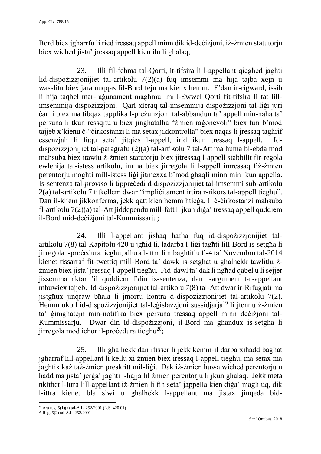Bord biex jgħarrfu li ried iressaq appell minn dik id-deċiżjoni, iż-żmien statutorju biex wieħed jista' jressaq appell kien ilu li għalaq;

23. Illi fil-fehma tal-Qorti, it-tifsira li l-appellant qiegħed jagħti lid-dispożizzjonijiet tal-artikolu 7(2)(a) fuq imsemmi ma hija tajba xejn u wasslitu biex jara nuqqas fil-Bord fejn ma kienx hemm. F'dan ir-rigward, issib li hija taqbel mar-raġunament magħmul mill-Ewwel Qorti fit-tifsira li tat lillimsemmija dispożizzjoni. Qari xieraq tal-imsemmija dispożizzjoni tal-liġi juri ċar li biex ma tibqax tapplika l-preżunzjoni tal-abbandun ta' appell min-naħa ta' persuna li tkun ressqitu u biex jingħatalha "żmien raġonevoli" biex turi b'mod tajjeb x'kienu ċ-"ċirkostanzi li ma setax jikkontrolla" biex naqas li jressaq tagħrif essenzjali li fuqu seta' jitqies l-appell, irid ikun tressaq l-appell. Iddispożizzjonijiet tal-paragrafu (2)(a) tal-artikolu 7 tal-Att ma huma bl-ebda mod maħsuba biex itawlu ż-żmien statutorju biex jitressaq l-appell stabbilit fir-regola ewlenija tal-istess artikolu, imma biex jirregola li l-appell imressaq fiż-żmien perentorju mogħti mill-istess liġi jitmexxa b'mod għaqli minn min ikun appella. Is-sentenza tal-*proviso* li tippreċedi d-dispożizzjonijiet tal-imsemmi sub-artikolu 2(a) tal-artikolu 7 titkellem dwar "impliċitament irtira r-rikors tal-appell tiegħu". Dan il-kliem jikkonferma, jekk qatt kien hemm ħtieġa, li ċ-ċirkostanzi maħsuba fl-artikolu 7(2)(a) tal-Att jiddependu mill-fatt li jkun diġa' tressaq appell quddiem il-Bord mid-deċiżjoni tal-Kummissarju;

24. Illi l-appellant jisħaq ħafna fuq id-dispożizzjonijiet talartikolu 7(8) tal-Kapitolu 420 u jgħid li, ladarba l-liġi tagħti lill-Bord is-setgħa li jirregola l-proċedura tiegħu, allura l-ittra li ntbagħtitlu fl-4 ta' Novembru tal-2014 kienet tissarraf fit-twettiq mill-Bord ta' dawk is-setgħat u għalhekk tawlitlu żżmien biex jista' jressaq l-appell tiegħu. Fid-dawl ta' dak li ngħad qabel u li sejjer jissemma aktar 'il quddiem f'din is-sentenza, dan l-argument tal-appellant mhuwiex tajjeb. Id-dispożizzjonijiet tal-artikolu 7(8) tal-Att dwar ir-Rifuġjati ma jistgħux jinqraw bħala li jmorru kontra d-dispożizzjonijiet tal-artikolu 7(2). Hemm ukoll id-dispożizzjonijiet tal-leġislazzjoni sussidjarja<sup>19</sup> li jtennu ż-żmien ta' ġimgħatejn min-notifika biex persuna tressaq appell minn deċiżjoni tal-Kummissarju. Dwar din id-dispożizzjoni, il-Bord ma għandux is-setgħa li jirregola mod ieħor il-proċedura tiegħu<sup>20</sup>;

25. Illi għalhekk dan ifisser li jekk kemm-il darba xiħadd bagħat jgħarraf lill-appellant li kellu xi żmien biex iressaq l-appell tiegħu, ma setax ma jagħtix każ taż-żmien preskritt mil-liġi. Dak iż-żmien huwa wieħed perentorju u ħadd ma jista' jerġa' jagħti l-ħajja lil żmien perentorju li jkun għalaq. Jekk meta nkitbet l-ittra lill-appellant iż-żmien li fih seta' jappella kien diġa' magħluq, dik l-ittra kienet bla siwi u għalhekk l-appellant ma jistax jinqeda bid-

<sup>1</sup> <sup>19</sup> Ara reg. 5(1)(a) tal-A.L. 252/2001 (L.S. 420.01)

<sup>20</sup> Reg. 5(2) tal-A.L. 252/2001